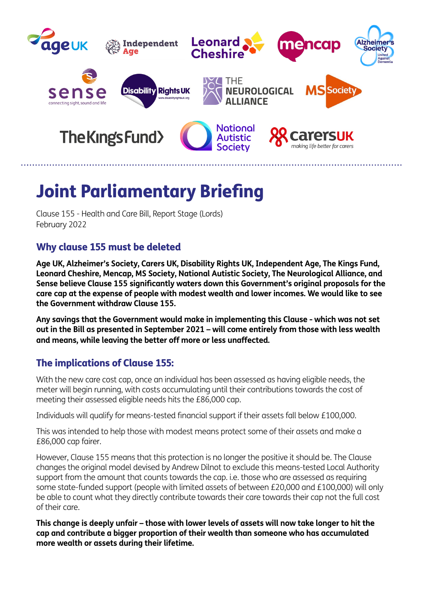

## Joint Parliamentary Briefing

Clause 155 - Health and Care Bill, Report Stage (Lords) February 2022

## Why clause 155 must be deleted

**Age UK, Alzheimer's Society, Carers UK, Disability Rights UK, Independent Age, The Kings Fund, Leonard Cheshire, Mencap, MS Society, National Autistic Society, The Neurological Alliance, and Sense believe Clause 155 significantly waters down this Government's original proposals for the care cap at the expense of people with modest wealth and lower incomes. We would like to see the Government withdraw Clause 155.** 

**Any savings that the Government would make in implementing this Clause - which was not set out in the Bill as presented in September 2021 – will come entirely from those with less wealth and means, while leaving the better off more or less unaffected.** 

## The implications of Clause 155:

With the new care cost cap, once an individual has been assessed as having eligible needs, the meter will begin running, with costs accumulating until their contributions towards the cost of meeting their assessed eligible needs hits the £86,000 cap.

Individuals will qualify for means-tested financial support if their assets fall below £100,000.

This was intended to help those with modest means protect some of their assets and make a £86,000 cap fairer.

However, Clause 155 means that this protection is no longer the positive it should be. The Clause changes the original model devised by Andrew Dilnot to exclude this means-tested Local Authority support from the amount that counts towards the cap. i.e. those who are assessed as requiring some state-funded support (people with limited assets of between £20,000 and £100,000) will only be able to count what they directly contribute towards their care towards their cap not the full cost of their care.

**This change is deeply unfair – those with lower levels of assets will now take longer to hit the cap and contribute a bigger proportion of their wealth than someone who has accumulated more wealth or assets during their lifetime.**